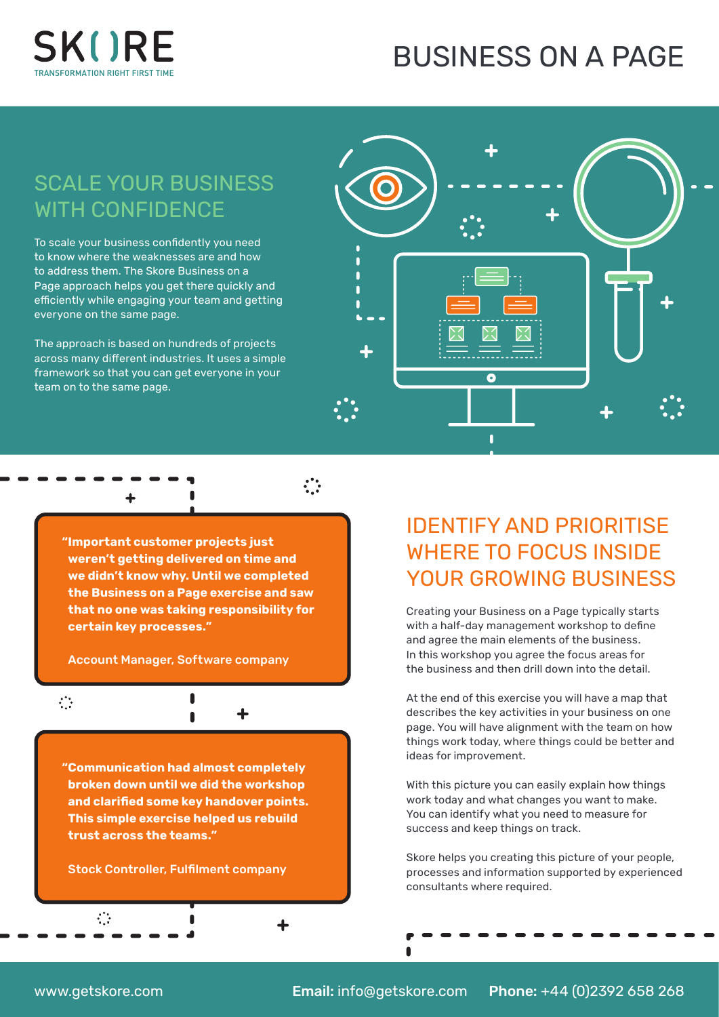

## BUSINESS ON A PAGE

### SCALE YOUR BUSINESS WITH CONFIDENCE

To scale your business confidently you need to know where the weaknesses are and how to address them. The Skore Business on a Page approach helps you get there quickly and efficiently while engaging your team and getting everyone on the same page.

The approach is based on hundreds of projects across many different industries. It uses a simple framework so that you can get everyone in your team on to the same page.



**"Important customer projects just weren't getting delivered on time and we didn't know why. Until we completed the Business on a Page exercise and saw that no one was taking responsibility for certain key processes."** 

Account Manager, Software company

 $\blacksquare$ 

Ĥ

 $\ddot{\cdot}$ 

 $\ddot{\cdot}$ 

**"Communication had almost completely broken down until we did the workshop and clarified some key handover points. This simple exercise helped us rebuild trust across the teams."**

#### Stock Controller, Fulfilment company

IDENTIFY AND PRIORITISE WHERE TO FOCUS INSIDE YOUR GROWING BUSINESS

Creating your Business on a Page typically starts with a half-day management workshop to define and agree the main elements of the business. In this workshop you agree the focus areas for the business and then drill down into the detail.

At the end of this exercise you will have a map that describes the key activities in your business on one page. You will have alignment with the team on how things work today, where things could be better and ideas for improvement.

With this picture you can easily explain how things work today and what changes you want to make. You can identify what you need to measure for success and keep things on track.

Skore helps you creating this picture of your people, processes and information supported by experienced consultants where required.

 $\mathcal{L}$